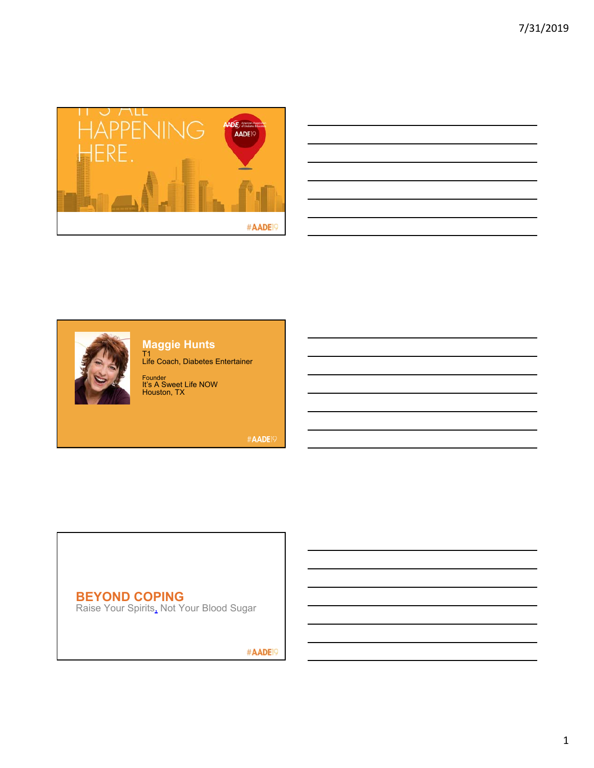





**Maggie Hunts**

T1 Life Coach, Diabetes Entertainer

Founder It's A Sweet Life NOW Houston, TX

#AADE<sup>19</sup>

## **BEYOND COPING**

Raise Your Spirits, Not Your Blood Sugar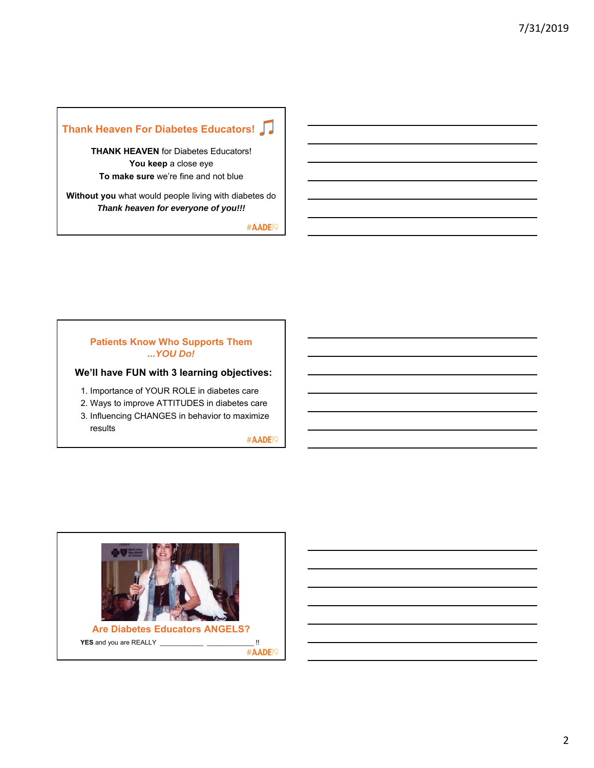## **Thank Heaven For Diabetes Educators!**

**THANK HEAVEN** for Diabetes Educators! **You keep** a close eye **To make sure** we're fine and not blue

**Without you** what would people living with diabetes do *Thank heaven for everyone of you!!!*

#AADE<sup>19</sup>

#### **Patients Know Who Supports Them** *...YOU Do!*

#### **We'll have FUN with 3 learning objectives:**

- 1. Importance of YOUR ROLE in diabetes care
- 2. Ways to improve ATTITUDES in diabetes care
- 3. Influencing CHANGES in behavior to maximize results

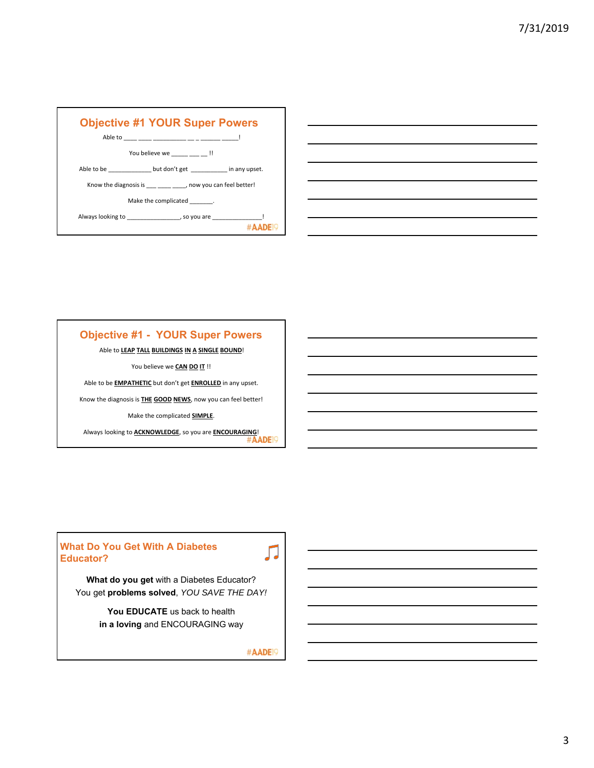

| <u> 1989 - Johann Stoff, deutscher Stoff, der Stoff, der Stoff, der Stoff, der Stoff, der Stoff, der Stoff, der S</u> |  |  |
|-----------------------------------------------------------------------------------------------------------------------|--|--|
| <u> 1989 - Johann Stoff, amerikan bestemanns foar it ferskearre fan de ferskearre fan de ferskearre fan de ferske</u> |  |  |
| <u> 1989 - Johann Stoff, deutscher Stoff, der Stoff, der Stoff, der Stoff, der Stoff, der Stoff, der Stoff, der S</u> |  |  |
| <u> 1989 - Johann Barn, amerikan bernama di sebagai bernama di sebagai bernama di sebagai bernama di sebagai ber</u>  |  |  |
| <u> 1989 - Johann Stoff, amerikansk politiker (d. 1989)</u>                                                           |  |  |
| <u> 1989 - Johann Stoff, deutscher Stoff, der Stoff, der Stoff, der Stoff, der Stoff, der Stoff, der Stoff, der S</u> |  |  |
|                                                                                                                       |  |  |

## **Objective #1 - YOUR Super Powers**

#### Able to **LEAP TALL BUILDINGS IN A SINGLE BOUND**!

You believe we **CAN DO IT** !!

Able to be **EMPATHETIC** but don't get **ENROLLED** in any upset.

Know the diagnosis is **THE GOOD NEWS**, now you can feel better!

Make the complicated **SIMPLE**.

Always looking to **ACKNOWLEDGE**, so you are **ENCOURAGING**!

#### **What Do You Get With A Diabetes Educator?**

**What do you get** with a Diabetes Educator? You get **problems solved**, *YOU SAVE THE DAY!*

> **You EDUCATE** us back to health **in a loving** and ENCOURAGING way

> > #AADE<sup>19</sup>

Л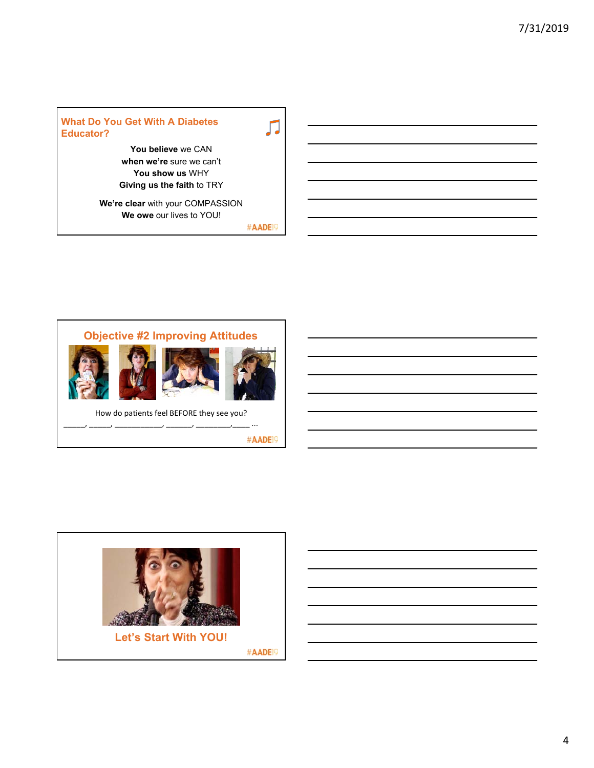#### **What Do You Get With A Diabetes Educator?**

**You believe** we CAN **when we're** sure we can't **You show us** WHY

**Giving us the faith** to TRY **We're clear** with your COMPASSION

**We owe** our lives to YOU!

#AADE<sup>19</sup>

Л



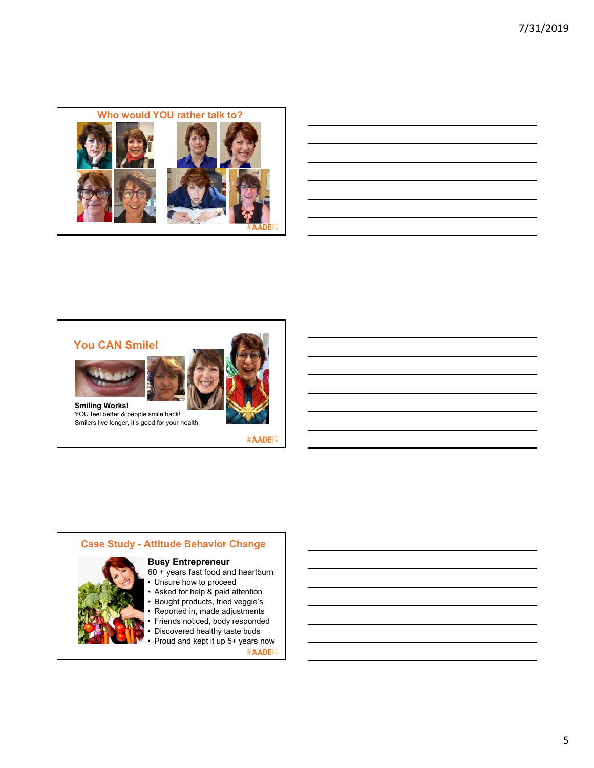

| <u> 1989 - Johann Harry Harry Harry Harry Harry Harry Harry Harry Harry Harry Harry Harry Harry Harry Harry Harry</u>                                                                                                            |  |  |
|----------------------------------------------------------------------------------------------------------------------------------------------------------------------------------------------------------------------------------|--|--|
| <u> 1989 - Johann Barbara, martxa alemaniar argamento este alemaniar alemaniar alemaniar alemaniar alemaniar a</u>                                                                                                               |  |  |
| a shekarar 1980 haqida qayta tashkil qayta tashkil qayta tashkil qayta tashkil qayta tashkil qayta tashkil qay<br>Markiy qayta tashkil qayta tashkil qayta tashkil qayta tashkil qayta tashkil qayta tashkil qayta tashkil qayta |  |  |
| <u> 2000 - Andrea Andrea Andrea Andrea Andrea Andrea Andrea Andrea Andrea Andrea Andrea Andrea Andrea Andrea And</u>                                                                                                             |  |  |
| <u> 1989 - Johann Stoff, deutscher Stoff, der Stoff, der Stoff, der Stoff, der Stoff, der Stoff, der Stoff, der S</u>                                                                                                            |  |  |
|                                                                                                                                                                                                                                  |  |  |







**Smiling Works!** YOU feel better & people smile back! Smilers live longer, it's good for your health.

#AADE<sup>19</sup>





- Bought products, tried veggie's
- Reported in, made adjustments
- Friends noticed, body responded
- Discovered healthy taste buds
- Proud and kept it up 5+ years now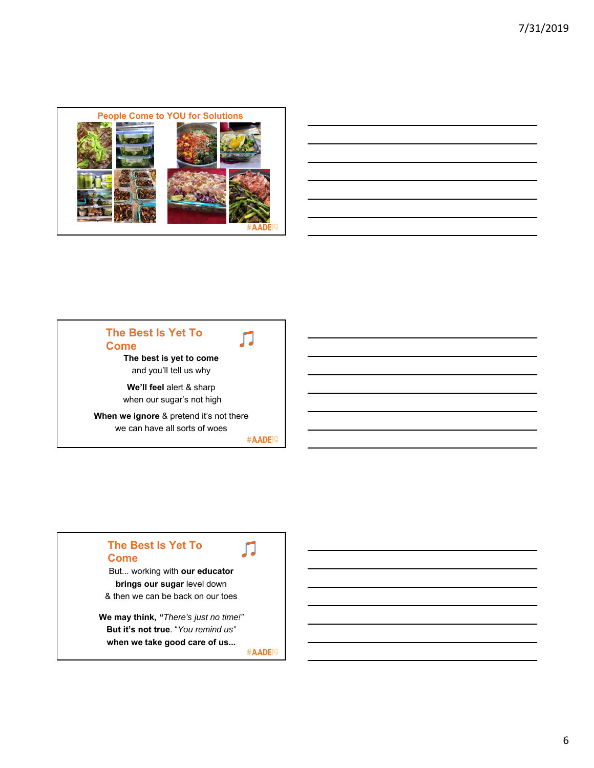

| <u> 1989 - Andrea Andrew Maria (h. 1989).</u>                                                                                                                                                                                        |  |  |
|--------------------------------------------------------------------------------------------------------------------------------------------------------------------------------------------------------------------------------------|--|--|
| <u> Andreas Andreas Andreas Andreas Andreas Andreas Andreas Andreas Andreas Andreas Andreas Andreas Andreas Andr</u>                                                                                                                 |  |  |
| <u> 1989 - Johann Harry Harry Harry Harry Harry Harry Harry Harry Harry Harry Harry Harry Harry Harry Harry Harry</u>                                                                                                                |  |  |
| <u>. In the contract of the contract of the contract of the contract of the contract of the contract of the contract of the contract of the contract of the contract of the contract of the contract of the contract of the cont</u> |  |  |
|                                                                                                                                                                                                                                      |  |  |
|                                                                                                                                                                                                                                      |  |  |
|                                                                                                                                                                                                                                      |  |  |

### **The Best Is Yet To Come**

**The best is yet to come**  and you'll tell us why

**We'll feel** alert & sharp when our sugar's not high

**When we ignore** & pretend it's not there we can have all sorts of woes

#AADE<sup>19</sup>

Л

### **The Best Is Yet To Come**

But... working with **our educator brings our sugar** level down & then we can be back on our toes

**We may think,** *"There's just no time!"* **But it's not true**. "*You remind us"*  **when we take good care of us...**

#AADE<sup>19</sup>

Л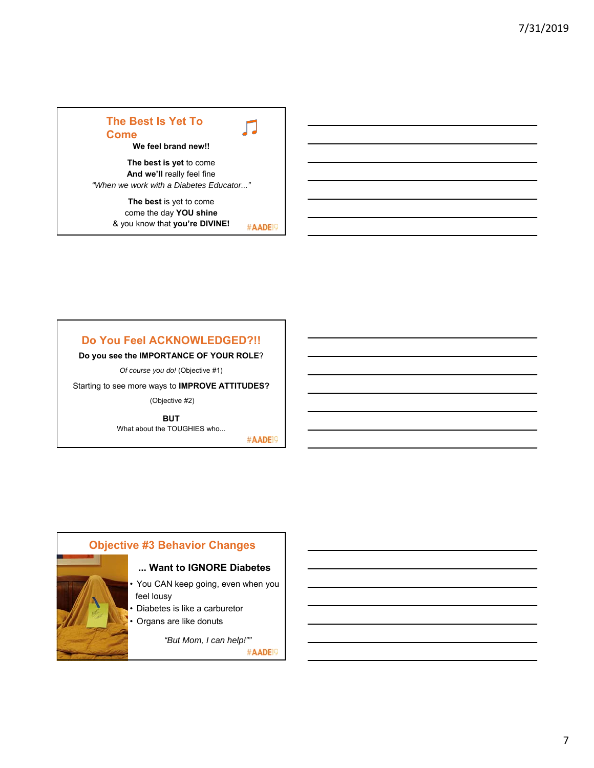## **The Best Is Yet To Come We feel brand new!!**

**The best is yet** to come **And we'll** really feel fine *"When we work with a Diabetes Educator..."*

> **The best** is yet to come come the day **YOU shine** & you know that **you're DIVINE!** #AADE<sup>19</sup>

### **Do You Feel ACKNOWLEDGED?!!**

**Do you see the IMPORTANCE OF YOUR ROLE**?

*Of course you do!* (Objective #1)

Starting to see more ways to **IMPROVE ATTITUDES?**

(Objective #2)

**BUT** What about the TOUGHIES who...

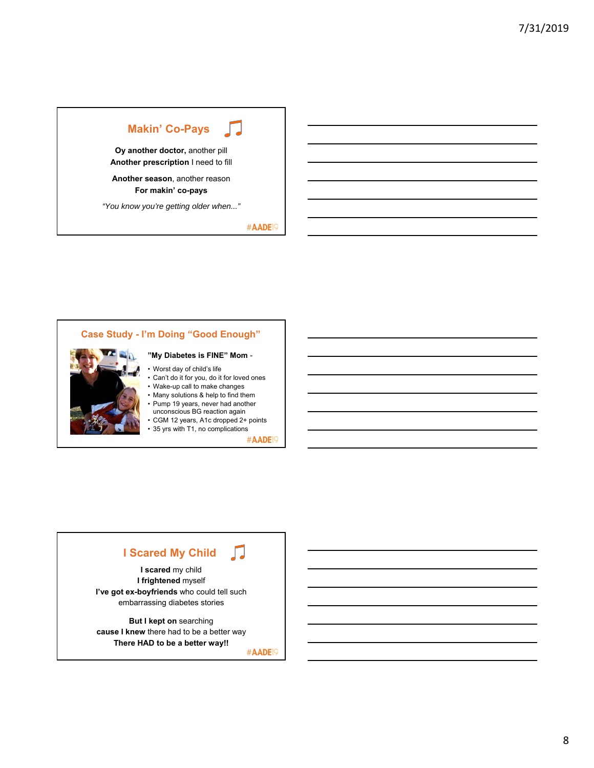## **Makin' Co-Pays**

**Oy another doctor,** another pill **Another prescription** I need to fill

**Another season**, another reason **For makin' co-pays**

*"You know you're getting older when..."*

#AADE<sup>19</sup>

### **Case Study - I'm Doing "Good Enough" "My Diabetes is FINE" Mom** - • Worst day of child's life • Can't do it for you, do it for loved ones • Wake-up call to make changes

- Many solutions & help to find them
- Pump 19 years, never had another
- unconscious BG reaction again • CGM 12 years, A1c dropped 2+ points
- 35 yrs with T1, no complications

#AADE<sup>19</sup>

#### Л **I Scared My Child**

**I scared** my child **I frightened** myself **I've got ex-boyfriends** who could tell such embarrassing diabetes stories

**But I kept on** searching **cause I knew** there had to be a better way **There HAD to be a better way!!**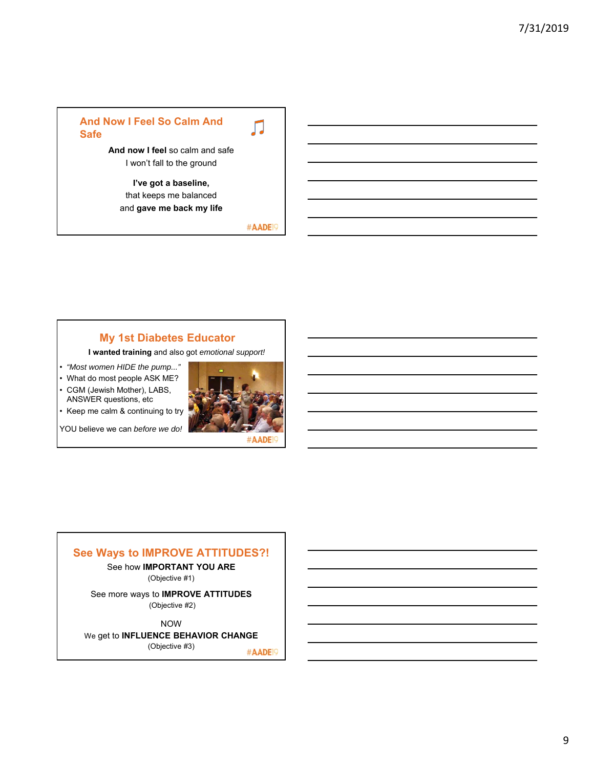### **And Now I Feel So Calm And Safe**

Л

**And now I feel** so calm and safe I won't fall to the ground

**I've got a baseline,**  that keeps me balanced and **gave me back my life**

#AADE<sup>19</sup>

### **My 1st Diabetes Educator**

**I wanted training** and also got *emotional support!*

• *"Most women HIDE the pump..."* 

• What do most people ASK ME? • CGM (Jewish Mother), LABS,

ANSWER questions, etc • Keep me calm & continuing to try

YOU believe we can *before we do!*



#### **See Ways to IMPROVE ATTITUDES?!**

See how **IMPORTANT YOU ARE**

(Objective #1)

See more ways to **IMPROVE ATTITUDES** (Objective #2)

NOW

#### We get to **INFLUENCE BEHAVIOR CHANGE**

(Objective #3)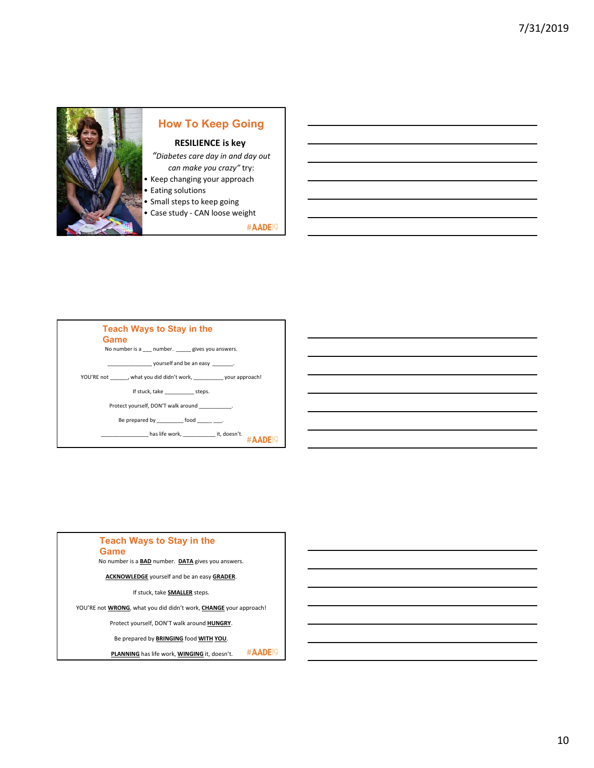

## **How To Keep Going**

#### **RESILIENCE is key**

*"Diabetes care day in and day out can make you crazy"* try:

- Keep changing your approach • Eating solutions
- Small steps to keep going
- Case study ‐ CAN loose weight

#AADE<sup>19</sup>



## **Teach Ways to Stay in the**

**Game**

No number is a **BAD** number. **DATA** gives you answers.

**ACKNOWLEDGE** yourself and be an easy **GRADER**.

If stuck, take **SMALLER** steps.

YOU'RE not **WRONG**, what you did didn't work, **CHANGE** your approach!

Protect yourself, DON'T walk around **HUNGRY**.

Be prepared by **BRINGING** food **WITH YOU**.

#AADE<sup>1</sup> **PLANNING** has life work, **WINGING** it, doesn't.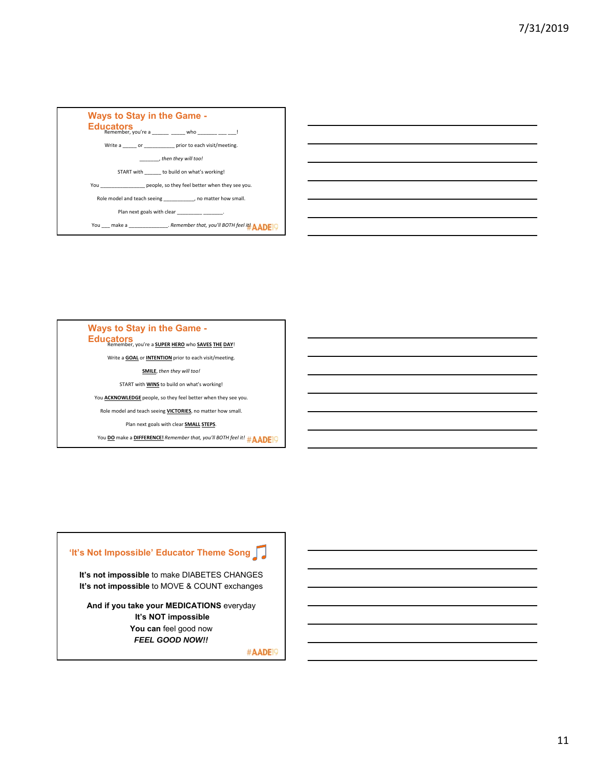



## **Ways to Stay in the Game - Educators** Remember, you're a **SUPER HERO** who **SAVES THE DAY!** Write a **GOAL** or **INTENTION** prior to each visit/meeting. **SMILE**, *then they will too!* START with **WINS** to build on what's working! You **ACKNOWLEDGE** people, so they feel better when they see you. Role model and teach seeing **VICTORIES**, no matter how small. Plan next goals with clear **SMALL STEPS**.

You **DO** make a **DIFFERENCE!** *Remember that, you'll BOTH feel it!*

### **'It's Not Impossible' Educator Theme Song**

**It's not impossible** to make DIABETES CHANGES **It's not impossible** to MOVE & COUNT exchanges

**And if you take your MEDICATIONS** everyday **It's NOT impossible** You can feel good now *FEEL GOOD NOW!!*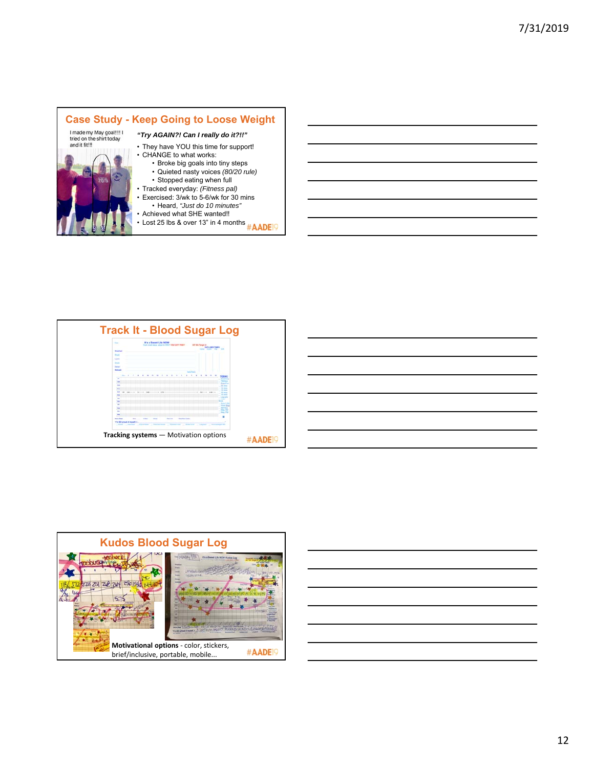#### **Case Study - Keep Going to Loose Weight**<br>
Imade my May goal!!!!!<br>
tied on the shirt today<br> **Case Study**<br> **Case Study**<br> **Case Study**<br> **Case YOU** this time for support! *"Try AGAIN?! Can I really do it?!!"* • They have YOU this time for support! • CHANGE to what works: • Broke big goals into tiny steps • Quieted nasty voices *(80/20 rule)* • Stopped eating when full • Tracked everyday: *(Fitness pal)* • Exercised: 3/wk to 5-6/wk for 30 mins • Heard, *"Just do 10 minutes"* • Achieved what SHE wanted!!

• Achieved w⊓at or i∟ wantool..<br>• Lost 25 lbs & over 13" in 4 months <sub>#</sub> AADE!